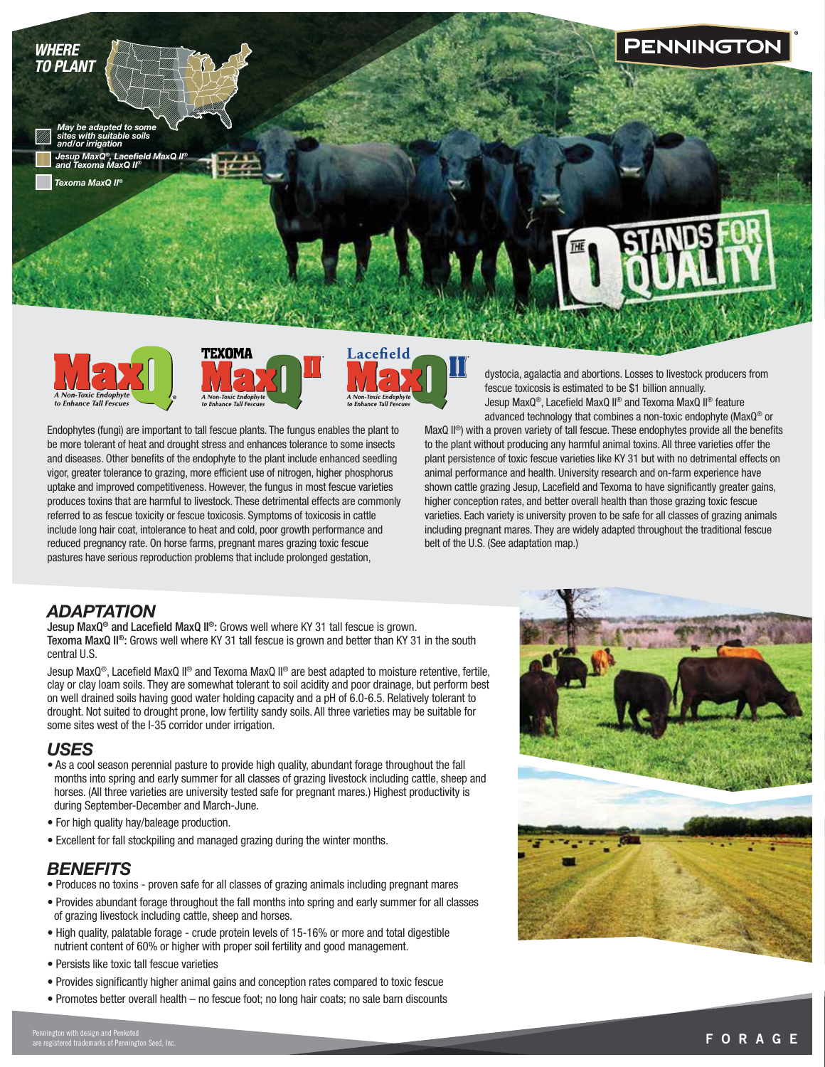







Endophytes (fungi) are important to tall fescue plants. The fungus enables the plant to be more tolerant of heat and drought stress and enhances tolerance to some insects and diseases. Other benefits of the endophyte to the plant include enhanced seedling vigor, greater tolerance to grazing, more efficient use of nitrogen, higher phosphorus uptake and improved competitiveness. However, the fungus in most fescue varieties produces toxins that are harmful to livestock. These detrimental effects are commonly referred to as fescue toxicity or fescue toxicosis. Symptoms of toxicosis in cattle include long hair coat, intolerance to heat and cold, poor growth performance and reduced pregnancy rate. On horse farms, pregnant mares grazing toxic fescue pastures have serious reproduction problems that include prolonged gestation,

dystocia, agalactia and abortions. Losses to livestock producers from fescue toxicosis is estimated to be \$1 billion annually. Jesup MaxQ®, Lacefield MaxQ II® and Texoma MaxQ II® feature advanced technology that combines a non-toxic endophyte (MaxQ® or

MaxQ II<sup>®</sup>) with a proven variety of tall fescue. These endophytes provide all the benefits to the plant without producing any harmful animal toxins. All three varieties offer the plant persistence of toxic fescue varieties like KY 31 but with no detrimental effects on animal performance and health. University research and on-farm experience have shown cattle grazing Jesup, Lacefield and Texoma to have significantly greater gains, higher conception rates, and better overall health than those grazing toxic fescue varieties. Each variety is university proven to be safe for all classes of grazing animals including pregnant mares. They are widely adapted throughout the traditional fescue belt of the U.S. (See adaptation map.)

### *ADAPTATION*

Jesup MaxQ® and Lacefield MaxQ II®: Grows well where KY 31 tall fescue is grown. Texoma MaxQ II®: Grows well where KY 31 tall fescue is grown and better than KY 31 in the south central U.S.

Jesup MaxQ®, Lacefield MaxQ II® and Texoma MaxQ II® are best adapted to moisture retentive, fertile, clay or clay loam soils. They are somewhat tolerant to soil acidity and poor drainage, but perform best on well drained soils having good water holding capacity and a pH of 6.0-6.5. Relatively tolerant to drought. Not suited to drought prone, low fertility sandy soils. All three varieties may be suitable for some sites west of the I-35 corridor under irrigation.

# *USES*

- As a cool season perennial pasture to provide high quality, abundant forage throughout the fall months into spring and early summer for all classes of grazing livestock including cattle, sheep and horses. (All three varieties are university tested safe for pregnant mares.) Highest productivity is during September-December and March-June.
- For high quality hay/baleage production.
- Excellent for fall stockpiling and managed grazing during the winter months.

### *BENEFITS*

- Produces no toxins proven safe for all classes of grazing animals including pregnant mares
- Provides abundant forage throughout the fall months into spring and early summer for all classes of grazing livestock including cattle, sheep and horses.
- High quality, palatable forage crude protein levels of 15-16% or more and total digestible nutrient content of 60% or higher with proper soil fertility and good management.
- Persists like toxic tall fescue varieties
- Provides significantly higher animal gains and conception rates compared to toxic fescue
- Promotes better overall health no fescue foot; no long hair coats; no sale barn discounts